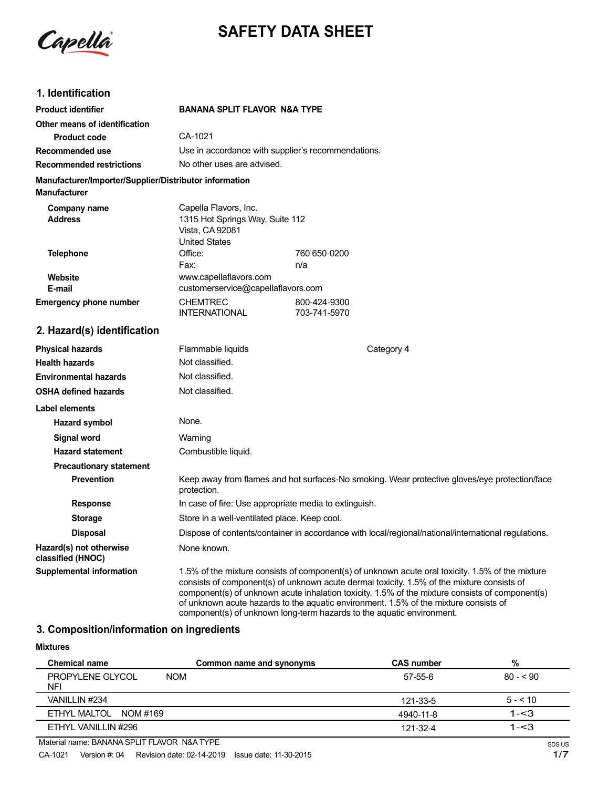Capella

# **SAFETY DATA SHEET**

# **1. Identification**

| Product identifier                                     | <b>BANANA SPLIT FLAVOR N&amp;A TYPE</b>                                                                                                                                                                                                                                                                                                                                                                                                                            |                              |  |
|--------------------------------------------------------|--------------------------------------------------------------------------------------------------------------------------------------------------------------------------------------------------------------------------------------------------------------------------------------------------------------------------------------------------------------------------------------------------------------------------------------------------------------------|------------------------------|--|
| Other means of identification                          |                                                                                                                                                                                                                                                                                                                                                                                                                                                                    |                              |  |
| <b>Product code</b>                                    | CA-1021                                                                                                                                                                                                                                                                                                                                                                                                                                                            |                              |  |
| <b>Recommended use</b>                                 | Use in accordance with supplier's recommendations.                                                                                                                                                                                                                                                                                                                                                                                                                 |                              |  |
| <b>Recommended restrictions</b>                        | No other uses are advised.                                                                                                                                                                                                                                                                                                                                                                                                                                         |                              |  |
| Manufacturer/Importer/Supplier/Distributor information |                                                                                                                                                                                                                                                                                                                                                                                                                                                                    |                              |  |
| <b>Manufacturer</b>                                    |                                                                                                                                                                                                                                                                                                                                                                                                                                                                    |                              |  |
| Company name<br><b>Address</b>                         | Capella Flavors, Inc.<br>1315 Hot Springs Way, Suite 112<br>Vista, CA 92081<br><b>United States</b>                                                                                                                                                                                                                                                                                                                                                                |                              |  |
| <b>Telephone</b>                                       | Office:                                                                                                                                                                                                                                                                                                                                                                                                                                                            | 760 650-0200                 |  |
|                                                        | Fax:                                                                                                                                                                                                                                                                                                                                                                                                                                                               | n/a                          |  |
| Website                                                | www.capellaflavors.com                                                                                                                                                                                                                                                                                                                                                                                                                                             |                              |  |
| E-mail                                                 | customerservice@capellaflavors.com                                                                                                                                                                                                                                                                                                                                                                                                                                 |                              |  |
| <b>Emergency phone number</b>                          | <b>CHEMTREC</b><br><b>INTERNATIONAL</b>                                                                                                                                                                                                                                                                                                                                                                                                                            | 800-424-9300<br>703-741-5970 |  |
| 2. Hazard(s) identification                            |                                                                                                                                                                                                                                                                                                                                                                                                                                                                    |                              |  |
| <b>Physical hazards</b>                                | Flammable liquids                                                                                                                                                                                                                                                                                                                                                                                                                                                  | Category 4                   |  |
| <b>Health hazards</b>                                  | Not classified.                                                                                                                                                                                                                                                                                                                                                                                                                                                    |                              |  |
| <b>Environmental hazards</b>                           | Not classified.                                                                                                                                                                                                                                                                                                                                                                                                                                                    |                              |  |
| <b>OSHA defined hazards</b>                            | Not classified.                                                                                                                                                                                                                                                                                                                                                                                                                                                    |                              |  |
| Label elements                                         |                                                                                                                                                                                                                                                                                                                                                                                                                                                                    |                              |  |
| Hazard symbol                                          | None.                                                                                                                                                                                                                                                                                                                                                                                                                                                              |                              |  |
| Signal word                                            | Warning                                                                                                                                                                                                                                                                                                                                                                                                                                                            |                              |  |
| <b>Hazard statement</b>                                | Combustible liquid.                                                                                                                                                                                                                                                                                                                                                                                                                                                |                              |  |
| <b>Precautionary statement</b>                         |                                                                                                                                                                                                                                                                                                                                                                                                                                                                    |                              |  |
| <b>Prevention</b>                                      | Keep away from flames and hot surfaces-No smoking. Wear protective gloves/eye protection/face<br>protection.                                                                                                                                                                                                                                                                                                                                                       |                              |  |
| <b>Response</b>                                        | In case of fire: Use appropriate media to extinguish.                                                                                                                                                                                                                                                                                                                                                                                                              |                              |  |
| <b>Storage</b>                                         | Store in a well-ventilated place. Keep cool.                                                                                                                                                                                                                                                                                                                                                                                                                       |                              |  |
| <b>Disposal</b>                                        | Dispose of contents/container in accordance with local/regional/national/international regulations.                                                                                                                                                                                                                                                                                                                                                                |                              |  |
| Hazard(s) not otherwise<br>classified (HNOC)           | None known.                                                                                                                                                                                                                                                                                                                                                                                                                                                        |                              |  |
| <b>Supplemental information</b>                        | 1.5% of the mixture consists of component(s) of unknown acute oral toxicity. 1.5% of the mixture<br>consists of component(s) of unknown acute dermal toxicity. 1.5% of the mixture consists of<br>component(s) of unknown acute inhalation toxicity. 1.5% of the mixture consists of component(s)<br>of unknown acute hazards to the aquatic environment. 1.5% of the mixture consists of<br>component(s) of unknown long-term hazards to the aquatic environment. |                              |  |

# **3. Composition/information on ingredients**

### **Mixtures**

| <b>Chemical name</b>           | Common name and synonyms | <b>CAS number</b> | %         |
|--------------------------------|--------------------------|-------------------|-----------|
| PROPYLENE GLYCOL<br><b>NFI</b> | <b>NOM</b>               | 57-55-6           | $80 - 90$ |
| VANILLIN #234                  |                          | 121-33-5          | $5 - 510$ |
| ETHYL MALTOL NOM #169          |                          | 4940-11-8         | $1 - 3$   |
| ETHYL VANILLIN #296            |                          | 121-32-4          | $1 - 3$   |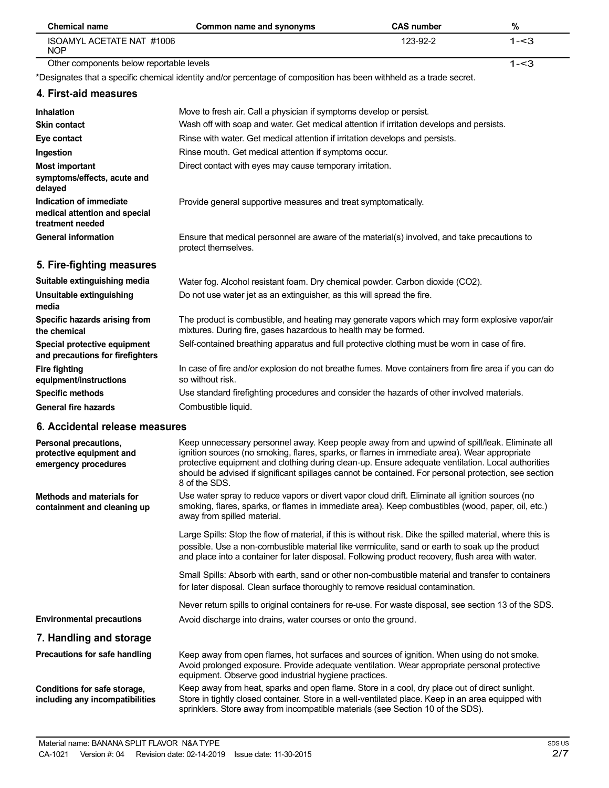| <b>Chemical name</b>                                                         | Common name and synonyms                                                                                                                                                                                                                                                                                                                                                                                                     | <b>CAS number</b> | $\%$    |
|------------------------------------------------------------------------------|------------------------------------------------------------------------------------------------------------------------------------------------------------------------------------------------------------------------------------------------------------------------------------------------------------------------------------------------------------------------------------------------------------------------------|-------------------|---------|
| ISOAMYL ACETATE NAT #1006<br><b>NOP</b>                                      |                                                                                                                                                                                                                                                                                                                                                                                                                              | 123-92-2          | $1 - 3$ |
| Other components below reportable levels                                     |                                                                                                                                                                                                                                                                                                                                                                                                                              |                   | $1 - 3$ |
|                                                                              | *Designates that a specific chemical identity and/or percentage of composition has been withheld as a trade secret.                                                                                                                                                                                                                                                                                                          |                   |         |
| 4. First-aid measures                                                        |                                                                                                                                                                                                                                                                                                                                                                                                                              |                   |         |
| Inhalation                                                                   | Move to fresh air. Call a physician if symptoms develop or persist.                                                                                                                                                                                                                                                                                                                                                          |                   |         |
| <b>Skin contact</b>                                                          | Wash off with soap and water. Get medical attention if irritation develops and persists.                                                                                                                                                                                                                                                                                                                                     |                   |         |
| Eye contact                                                                  | Rinse with water. Get medical attention if irritation develops and persists.                                                                                                                                                                                                                                                                                                                                                 |                   |         |
| Ingestion                                                                    | Rinse mouth. Get medical attention if symptoms occur.                                                                                                                                                                                                                                                                                                                                                                        |                   |         |
| <b>Most important</b>                                                        | Direct contact with eyes may cause temporary irritation.                                                                                                                                                                                                                                                                                                                                                                     |                   |         |
| symptoms/effects, acute and<br>delayed                                       |                                                                                                                                                                                                                                                                                                                                                                                                                              |                   |         |
| Indication of immediate<br>medical attention and special<br>treatment needed | Provide general supportive measures and treat symptomatically.                                                                                                                                                                                                                                                                                                                                                               |                   |         |
| <b>General information</b>                                                   | Ensure that medical personnel are aware of the material(s) involved, and take precautions to<br>protect themselves.                                                                                                                                                                                                                                                                                                          |                   |         |
| 5. Fire-fighting measures                                                    |                                                                                                                                                                                                                                                                                                                                                                                                                              |                   |         |
| Suitable extinguishing media                                                 | Water fog. Alcohol resistant foam. Dry chemical powder. Carbon dioxide (CO2).                                                                                                                                                                                                                                                                                                                                                |                   |         |
| Unsuitable extinguishing<br>media                                            | Do not use water jet as an extinguisher, as this will spread the fire.                                                                                                                                                                                                                                                                                                                                                       |                   |         |
| Specific hazards arising from<br>the chemical                                | The product is combustible, and heating may generate vapors which may form explosive vapor/air<br>mixtures. During fire, gases hazardous to health may be formed.                                                                                                                                                                                                                                                            |                   |         |
| Special protective equipment<br>and precautions for firefighters             | Self-contained breathing apparatus and full protective clothing must be worn in case of fire.                                                                                                                                                                                                                                                                                                                                |                   |         |
| <b>Fire fighting</b><br>equipment/instructions                               | In case of fire and/or explosion do not breathe fumes. Move containers from fire area if you can do<br>so without risk.                                                                                                                                                                                                                                                                                                      |                   |         |
| <b>Specific methods</b>                                                      | Use standard firefighting procedures and consider the hazards of other involved materials.                                                                                                                                                                                                                                                                                                                                   |                   |         |
| <b>General fire hazards</b>                                                  | Combustible liquid.                                                                                                                                                                                                                                                                                                                                                                                                          |                   |         |
| 6. Accidental release measures                                               |                                                                                                                                                                                                                                                                                                                                                                                                                              |                   |         |
| Personal precautions,<br>protective equipment and<br>emergency procedures    | Keep unnecessary personnel away. Keep people away from and upwind of spill/leak. Eliminate all<br>ignition sources (no smoking, flares, sparks, or flames in immediate area). Wear appropriate<br>protective equipment and clothing during clean-up. Ensure adequate ventilation. Local authorities<br>should be advised if significant spillages cannot be contained. For personal protection, see section<br>8 of the SDS. |                   |         |
| <b>Methods and materials for</b><br>containment and cleaning up              | Use water spray to reduce vapors or divert vapor cloud drift. Eliminate all ignition sources (no<br>smoking, flares, sparks, or flames in immediate area). Keep combustibles (wood, paper, oil, etc.)<br>away from spilled material.                                                                                                                                                                                         |                   |         |
|                                                                              | Large Spills: Stop the flow of material, if this is without risk. Dike the spilled material, where this is<br>possible. Use a non-combustible material like vermiculite, sand or earth to soak up the product<br>and place into a container for later disposal. Following product recovery, flush area with water.                                                                                                           |                   |         |
|                                                                              | Small Spills: Absorb with earth, sand or other non-combustible material and transfer to containers<br>for later disposal. Clean surface thoroughly to remove residual contamination.                                                                                                                                                                                                                                         |                   |         |
|                                                                              | Never return spills to original containers for re-use. For waste disposal, see section 13 of the SDS.                                                                                                                                                                                                                                                                                                                        |                   |         |
| <b>Environmental precautions</b>                                             | Avoid discharge into drains, water courses or onto the ground.                                                                                                                                                                                                                                                                                                                                                               |                   |         |
| 7. Handling and storage                                                      |                                                                                                                                                                                                                                                                                                                                                                                                                              |                   |         |
| Precautions for safe handling                                                | Keep away from open flames, hot surfaces and sources of ignition. When using do not smoke.<br>Avoid prolonged exposure. Provide adequate ventilation. Wear appropriate personal protective<br>equipment. Observe good industrial hygiene practices.                                                                                                                                                                          |                   |         |

**Conditions for safe storage, including any incompatibilities** Keep away from heat, sparks and open flame. Store in a cool, dry place out of direct sunlight. Store in tightly closed container. Store in a well-ventilated place. Keep in an area equipped with sprinklers. Store away from incompatible materials (see Section 10 of the SDS).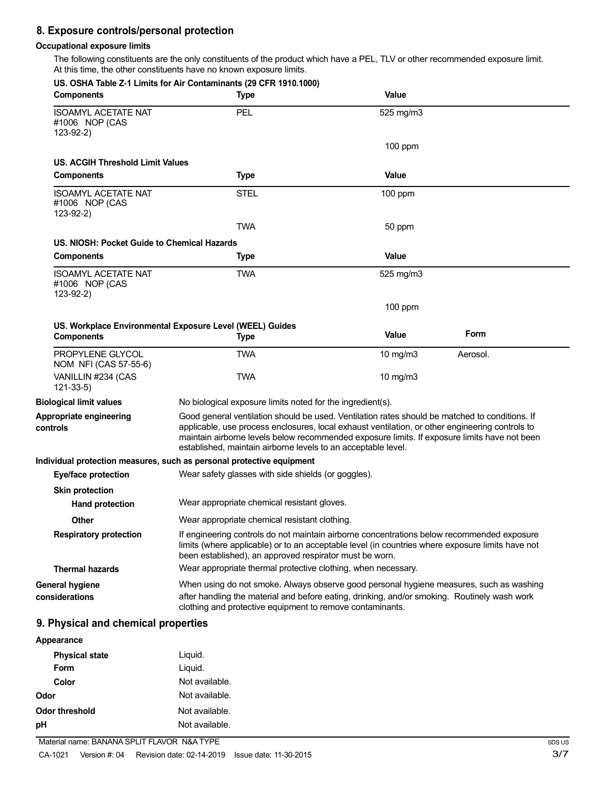# **8. Exposure controls/personal protection**

### **Occupational exposure limits**

The following constituents are the only constituents of the product which have a PEL, TLV or other recommended exposure limit. At this time, the other constituents have no known exposure limits.

| <b>Components</b>                                           | US. OSHA Table Z-1 Limits for Air Contaminants (29 CFR 1910.1000)<br><b>Type</b>                                                                                                                                                                                                                                                                                   | Value        |          |
|-------------------------------------------------------------|--------------------------------------------------------------------------------------------------------------------------------------------------------------------------------------------------------------------------------------------------------------------------------------------------------------------------------------------------------------------|--------------|----------|
| <b>ISOAMYL ACETATE NAT</b><br>#1006 NOP (CAS<br>$123-92-2)$ | PEL                                                                                                                                                                                                                                                                                                                                                                | 525 mg/m3    |          |
|                                                             |                                                                                                                                                                                                                                                                                                                                                                    | $100$ ppm    |          |
| US. ACGIH Threshold Limit Values                            |                                                                                                                                                                                                                                                                                                                                                                    |              |          |
| <b>Components</b>                                           | Type                                                                                                                                                                                                                                                                                                                                                               | Value        |          |
| <b>ISOAMYL ACETATE NAT</b><br>#1006 NOP (CAS<br>$123-92-2)$ | <b>STEL</b>                                                                                                                                                                                                                                                                                                                                                        | $100$ ppm    |          |
|                                                             | <b>TWA</b>                                                                                                                                                                                                                                                                                                                                                         | 50 ppm       |          |
| US. NIOSH: Pocket Guide to Chemical Hazards                 |                                                                                                                                                                                                                                                                                                                                                                    |              |          |
| <b>Components</b>                                           | <b>Type</b>                                                                                                                                                                                                                                                                                                                                                        | <b>Value</b> |          |
| <b>ISOAMYL ACETATE NAT</b><br>#1006 NOP (CAS<br>$123-92-2)$ | <b>TWA</b>                                                                                                                                                                                                                                                                                                                                                         | 525 mg/m3    |          |
|                                                             |                                                                                                                                                                                                                                                                                                                                                                    | $100$ ppm    |          |
| <b>Components</b>                                           | US. Workplace Environmental Exposure Level (WEEL) Guides                                                                                                                                                                                                                                                                                                           | <b>Value</b> | Form     |
|                                                             | <b>Type</b>                                                                                                                                                                                                                                                                                                                                                        |              |          |
| PROPYLENE GLYCOL<br>NOM NFI (CAS 57-55-6)                   | <b>TWA</b>                                                                                                                                                                                                                                                                                                                                                         | 10 mg/m3     | Aerosol. |
| VANILLIN #234 (CAS<br>$121 - 33 - 5$                        | <b>TWA</b>                                                                                                                                                                                                                                                                                                                                                         | 10 $mg/m3$   |          |
| <b>Biological limit values</b>                              | No biological exposure limits noted for the ingredient(s).                                                                                                                                                                                                                                                                                                         |              |          |
| Appropriate engineering<br>controls                         | Good general ventilation should be used. Ventilation rates should be matched to conditions. If<br>applicable, use process enclosures, local exhaust ventilation, or other engineering controls to<br>maintain airborne levels below recommended exposure limits. If exposure limits have not been<br>established, maintain airborne levels to an acceptable level. |              |          |
|                                                             | Individual protection measures, such as personal protective equipment                                                                                                                                                                                                                                                                                              |              |          |
| Eye/face protection                                         | Wear safety glasses with side shields (or goggles).                                                                                                                                                                                                                                                                                                                |              |          |
| <b>Skin protection</b>                                      |                                                                                                                                                                                                                                                                                                                                                                    |              |          |
| <b>Hand protection</b>                                      | Wear appropriate chemical resistant gloves.                                                                                                                                                                                                                                                                                                                        |              |          |
| Other                                                       | Wear appropriate chemical resistant clothing.                                                                                                                                                                                                                                                                                                                      |              |          |
| <b>Respiratory protection</b>                               | If engineering controls do not maintain airborne concentrations below recommended exposure<br>limits (where applicable) or to an acceptable level (in countries where exposure limits have not<br>been established), an approved respirator must be worn.                                                                                                          |              |          |
| <b>Thermal hazards</b>                                      | Wear appropriate thermal protective clothing, when necessary.                                                                                                                                                                                                                                                                                                      |              |          |
| <b>General hygiene</b><br>considerations                    | When using do not smoke. Always observe good personal hygiene measures, such as washing<br>after handling the material and before eating, drinking, and/or smoking. Routinely wash work<br>clothing and protective equipment to remove contaminants.                                                                                                               |              |          |
| 9. Physical and chemical properties                         |                                                                                                                                                                                                                                                                                                                                                                    |              |          |
| Appearance                                                  |                                                                                                                                                                                                                                                                                                                                                                    |              |          |

| <b>Physical state</b><br>Form | Liquid.<br>Liquid. |
|-------------------------------|--------------------|
| Color                         | Not available.     |
| Odor                          | Not available.     |
| Odor threshold                | Not available.     |
| рH                            | Not available.     |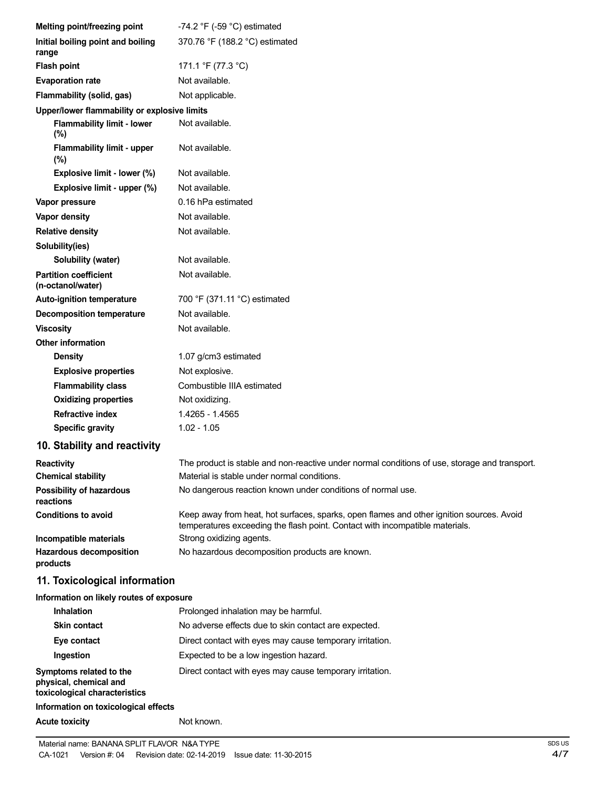| Melting point/freezing point                      | -74.2 $\degree$ F (-59 $\degree$ C) estimated                                                                                                                            |
|---------------------------------------------------|--------------------------------------------------------------------------------------------------------------------------------------------------------------------------|
| Initial boiling point and boiling<br>range        | 370.76 °F (188.2 °C) estimated                                                                                                                                           |
| <b>Flash point</b>                                | 171.1 °F (77.3 °C)                                                                                                                                                       |
| <b>Evaporation rate</b>                           | Not available.                                                                                                                                                           |
| Flammability (solid, gas)                         | Not applicable.                                                                                                                                                          |
| Upper/lower flammability or explosive limits      |                                                                                                                                                                          |
| <b>Flammability limit - lower</b><br>(%)          | Not available.                                                                                                                                                           |
| Flammability limit - upper<br>(%)                 | Not available.                                                                                                                                                           |
| Explosive limit - lower (%)                       | Not available.                                                                                                                                                           |
| Explosive limit - upper (%)                       | Not available.                                                                                                                                                           |
| Vapor pressure                                    | 0.16 hPa estimated                                                                                                                                                       |
| Vapor density                                     | Not available.                                                                                                                                                           |
| <b>Relative density</b>                           | Not available.                                                                                                                                                           |
| Solubility(ies)                                   |                                                                                                                                                                          |
| Solubility (water)                                | Not available.                                                                                                                                                           |
| <b>Partition coefficient</b><br>(n-octanol/water) | Not available.                                                                                                                                                           |
| <b>Auto-ignition temperature</b>                  | 700 °F (371.11 °C) estimated                                                                                                                                             |
| <b>Decomposition temperature</b>                  | Not available.                                                                                                                                                           |
| <b>Viscosity</b>                                  | Not available.                                                                                                                                                           |
| <b>Other information</b>                          |                                                                                                                                                                          |
| <b>Density</b>                                    | 1.07 g/cm3 estimated                                                                                                                                                     |
| <b>Explosive properties</b>                       | Not explosive.                                                                                                                                                           |
| <b>Flammability class</b>                         | Combustible IIIA estimated                                                                                                                                               |
| <b>Oxidizing properties</b>                       | Not oxidizing.                                                                                                                                                           |
| <b>Refractive index</b>                           | 1.4265 - 1.4565                                                                                                                                                          |
| <b>Specific gravity</b>                           | $1.02 - 1.05$                                                                                                                                                            |
| 10. Stability and reactivity                      |                                                                                                                                                                          |
| <b>Reactivity</b>                                 | The product is stable and non-reactive under normal conditions of use, storage and transport.                                                                            |
| <b>Chemical stability</b>                         | Material is stable under normal conditions.                                                                                                                              |
| <b>Possibility of hazardous</b><br>reactions      | No dangerous reaction known under conditions of normal use.                                                                                                              |
| <b>Conditions to avoid</b>                        | Keep away from heat, hot surfaces, sparks, open flames and other ignition sources. Avoid<br>temperatures exceeding the flash point. Contact with incompatible materials. |
| Incompatible materials                            | Strong oxidizing agents.                                                                                                                                                 |
| <b>Hazardous decomposition</b><br>products        | No hazardous decomposition products are known.                                                                                                                           |
| 11. Toxicological information                     |                                                                                                                                                                          |
| Information on likely routes of exposure          |                                                                                                                                                                          |
| Inhalation                                        | Prolonged inhalation may be harmful.                                                                                                                                     |
| <b>Skin contact</b>                               | No adverse effects due to skin contact are expected.                                                                                                                     |
| Eye contact                                       | Direct contact with eyes may cause temporary irritation.                                                                                                                 |
| Ingestion                                         | Expected to be a low ingestion hazard.                                                                                                                                   |
| Symptoms related to the                           | Direct contact with eyes may cause temporary irritation.                                                                                                                 |

**physical, chemical and toxicological characteristics**

## **Information on toxicological effects**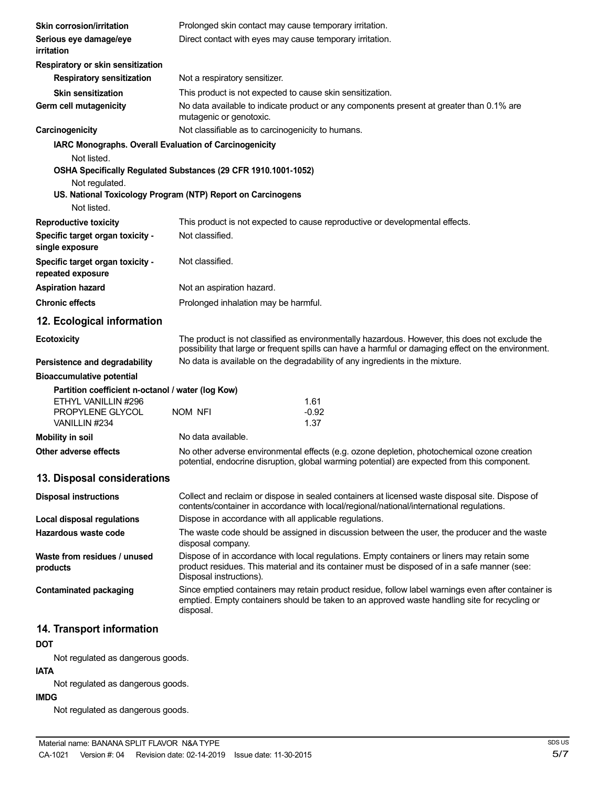| Skin corrosion/irritation                                                                    | Prolonged skin contact may cause temporary irritation.   |                                                                                                                                                                                                       |  |
|----------------------------------------------------------------------------------------------|----------------------------------------------------------|-------------------------------------------------------------------------------------------------------------------------------------------------------------------------------------------------------|--|
| Serious eye damage/eye<br>irritation                                                         | Direct contact with eyes may cause temporary irritation. |                                                                                                                                                                                                       |  |
| Respiratory or skin sensitization                                                            |                                                          |                                                                                                                                                                                                       |  |
| <b>Respiratory sensitization</b>                                                             | Not a respiratory sensitizer.                            |                                                                                                                                                                                                       |  |
| <b>Skin sensitization</b>                                                                    |                                                          | This product is not expected to cause skin sensitization.                                                                                                                                             |  |
| Germ cell mutagenicity                                                                       | mutagenic or genotoxic.                                  | No data available to indicate product or any components present at greater than 0.1% are                                                                                                              |  |
| Carcinogenicity                                                                              |                                                          | Not classifiable as to carcinogenicity to humans.                                                                                                                                                     |  |
| IARC Monographs. Overall Evaluation of Carcinogenicity                                       |                                                          |                                                                                                                                                                                                       |  |
| Not listed.                                                                                  |                                                          |                                                                                                                                                                                                       |  |
| OSHA Specifically Regulated Substances (29 CFR 1910.1001-1052)                               |                                                          |                                                                                                                                                                                                       |  |
| Not regulated.<br>US. National Toxicology Program (NTP) Report on Carcinogens<br>Not listed. |                                                          |                                                                                                                                                                                                       |  |
| <b>Reproductive toxicity</b>                                                                 |                                                          | This product is not expected to cause reproductive or developmental effects.                                                                                                                          |  |
| Specific target organ toxicity -<br>single exposure                                          | Not classified.                                          |                                                                                                                                                                                                       |  |
| Specific target organ toxicity -<br>repeated exposure                                        | Not classified.                                          |                                                                                                                                                                                                       |  |
| <b>Aspiration hazard</b>                                                                     | Not an aspiration hazard.                                |                                                                                                                                                                                                       |  |
| <b>Chronic effects</b>                                                                       |                                                          | Prolonged inhalation may be harmful.                                                                                                                                                                  |  |
| 12. Ecological information                                                                   |                                                          |                                                                                                                                                                                                       |  |
| <b>Ecotoxicity</b>                                                                           |                                                          | The product is not classified as environmentally hazardous. However, this does not exclude the<br>possibility that large or frequent spills can have a harmful or damaging effect on the environment. |  |
| Persistence and degradability                                                                |                                                          | No data is available on the degradability of any ingredients in the mixture.                                                                                                                          |  |
| <b>Bioaccumulative potential</b>                                                             |                                                          |                                                                                                                                                                                                       |  |
| Partition coefficient n-octanol / water (log Kow)                                            |                                                          |                                                                                                                                                                                                       |  |
| ETHYL VANILLIN #296                                                                          |                                                          | 1.61                                                                                                                                                                                                  |  |
| PROPYLENE GLYCOL<br>VANILLIN #234                                                            | NOM NFI                                                  | $-0.92$<br>1.37                                                                                                                                                                                       |  |
| <b>Mobility in soil</b>                                                                      | No data available.                                       |                                                                                                                                                                                                       |  |
| Other adverse effects                                                                        |                                                          | No other adverse environmental effects (e.g. ozone depletion, photochemical ozone creation<br>potential, endocrine disruption, global warming potential) are expected from this component.            |  |
| 13. Disposal considerations                                                                  |                                                          |                                                                                                                                                                                                       |  |
| <b>Disposal instructions</b>                                                                 |                                                          | Collect and reclaim or dispose in sealed containers at licensed waste disposal site. Dispose of<br>contents/container in accordance with local/regional/national/international regulations.           |  |
| Local disposal regulations                                                                   |                                                          | Dispose in accordance with all applicable regulations.                                                                                                                                                |  |
| Hazardous waste code                                                                         | disposal company.                                        | The waste code should be assigned in discussion between the user, the producer and the waste                                                                                                          |  |
| Waste from residues / unused<br>products                                                     | Disposal instructions).                                  | Dispose of in accordance with local regulations. Empty containers or liners may retain some<br>product residues. This material and its container must be disposed of in a safe manner (see:           |  |
| <b>Contaminated packaging</b>                                                                | disposal.                                                | Since emptied containers may retain product residue, follow label warnings even after container is<br>emptied. Empty containers should be taken to an approved waste handling site for recycling or   |  |
| 14. Transport information                                                                    |                                                          |                                                                                                                                                                                                       |  |
| <b>DOT</b>                                                                                   |                                                          |                                                                                                                                                                                                       |  |
| Not regulated as dangerous goods.                                                            |                                                          |                                                                                                                                                                                                       |  |
|                                                                                              |                                                          |                                                                                                                                                                                                       |  |

# **IATA**

Not regulated as dangerous goods.

#### **IMDG**

Not regulated as dangerous goods.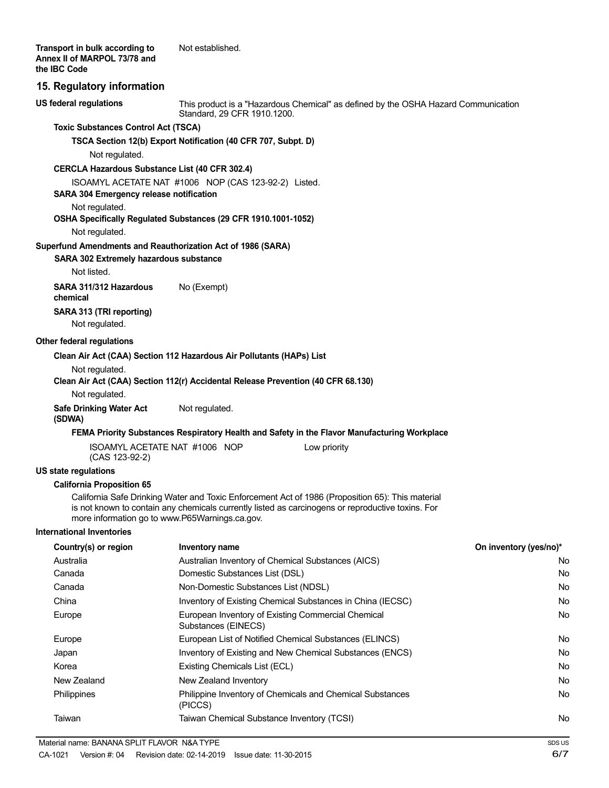#### **15. Regulatory information**

**US federal regulations**

This product is a "Hazardous Chemical" as defined by the OSHA Hazard Communication Standard, 29 CFR 1910.1200.

#### **Toxic Substances Control Act (TSCA)**

**TSCA Section 12(b) Export Notification (40 CFR 707, Subpt. D)**

Not regulated.

#### **CERCLA Hazardous Substance List (40 CFR 302.4)**

ISOAMYL ACETATE NAT #1006 NOP (CAS 123-92-2) Listed.

#### **SARA 304 Emergency release notification**

#### Not regulated.

#### **OSHA Specifically Regulated Substances (29 CFR 1910.1001-1052)**

Not regulated.

#### **Superfund Amendments and Reauthorization Act of 1986 (SARA)**

**SARA 302 Extremely hazardous substance**

Not listed.

**SARA 311/312 Hazardous** No (Exempt) **chemical SARA 313 (TRI reporting)** Not regulated.

#### **Other federal regulations**

#### **Clean Air Act (CAA) Section 112 Hazardous Air Pollutants (HAPs) List**

Not regulated.

#### **Clean Air Act (CAA) Section 112(r) Accidental Release Prevention (40 CFR 68.130)**

Not regulated.

**Safe Drinking Water Act** Not regulated. **(SDWA)**

#### **FEMA Priority Substances Respiratory Health and Safety in the Flavor Manufacturing Workplace**

| ISOAMYL ACETATE NAT #1006 NOP |  |  |
|-------------------------------|--|--|
| (CAS 123-92-2)                |  |  |

#### **US state regulations**

#### **California Proposition 65**

California Safe Drinking Water and Toxic Enforcement Act of 1986 (Proposition 65): This material is not known to contain any chemicals currently listed as carcinogens or reproductive toxins. For more information go to www.P65Warnings.ca.gov.

#### **International Inventories**

| Country(s) or region | Inventory name                                                              | On inventory (yes/no)* |
|----------------------|-----------------------------------------------------------------------------|------------------------|
| Australia            | Australian Inventory of Chemical Substances (AICS)                          | No                     |
| Canada               | Domestic Substances List (DSL)                                              | No                     |
| Canada               | Non-Domestic Substances List (NDSL)                                         | No                     |
| China                | Inventory of Existing Chemical Substances in China (IECSC)                  | No                     |
| Europe               | European Inventory of Existing Commercial Chemical<br>Substances (EINECS)   | No                     |
| Europe               | European List of Notified Chemical Substances (ELINCS)                      | No                     |
| Japan                | Inventory of Existing and New Chemical Substances (ENCS)                    | No                     |
| Korea                | Existing Chemicals List (ECL)                                               | No                     |
| New Zealand          | New Zealand Inventory                                                       | No                     |
| <b>Philippines</b>   | <b>Philippine Inventory of Chemicals and Chemical Substances</b><br>(PICCS) | No                     |
| Taiwan               | Taiwan Chemical Substance Inventory (TCSI)                                  | No                     |

Low priority